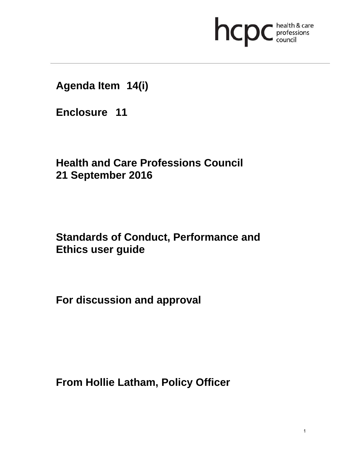

**Agenda Item 14(i)** 

**Enclosure 11**

**Health and Care Professions Council 21 September 2016**

# **Standards of Conduct, Performance and Ethics user guide**

**For discussion and approval** 

**From Hollie Latham, Policy Officer**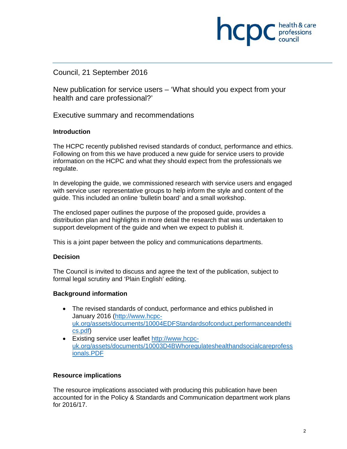## Council, 21 September 2016

New publication for service users – 'What should you expect from your health and care professional?'

**INCID** C professions

Executive summary and recommendations

#### **Introduction**

The HCPC recently published revised standards of conduct, performance and ethics. Following on from this we have produced a new guide for service users to provide information on the HCPC and what they should expect from the professionals we regulate.

In developing the guide, we commissioned research with service users and engaged with service user representative groups to help inform the style and content of the guide. This included an online 'bulletin board' and a small workshop.

The enclosed paper outlines the purpose of the proposed guide, provides a distribution plan and highlights in more detail the research that was undertaken to support development of the guide and when we expect to publish it.

This is a joint paper between the policy and communications departments.

#### **Decision**

The Council is invited to discuss and agree the text of the publication, subject to formal legal scrutiny and 'Plain English' editing.

#### **Background information**

- The revised standards of conduct, performance and ethics published in January 2016 (http://www.hcpcuk.org/assets/documents/10004EDFStandardsofconduct,performanceandethi cs.pdf)
- Existing service user leaflet http://www.hcpcuk.org/assets/documents/10003D4BWhoregulateshealthandsocialcareprofess ionals.PDF

#### **Resource implications**

The resource implications associated with producing this publication have been accounted for in the Policy & Standards and Communication department work plans for 2016/17.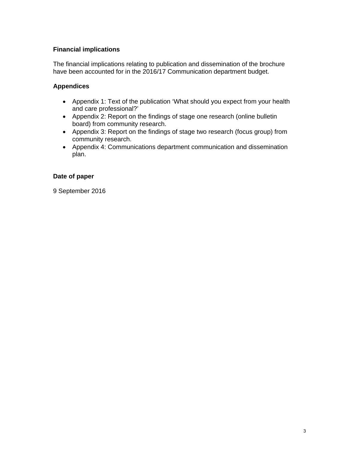### **Financial implications**

The financial implications relating to publication and dissemination of the brochure have been accounted for in the 2016/17 Communication department budget.

### **Appendices**

- Appendix 1: Text of the publication 'What should you expect from your health and care professional?'
- Appendix 2: Report on the findings of stage one research (online bulletin board) from community research.
- Appendix 3: Report on the findings of stage two research (focus group) from community research.
- Appendix 4: Communications department communication and dissemination plan.

### **Date of paper**

9 September 2016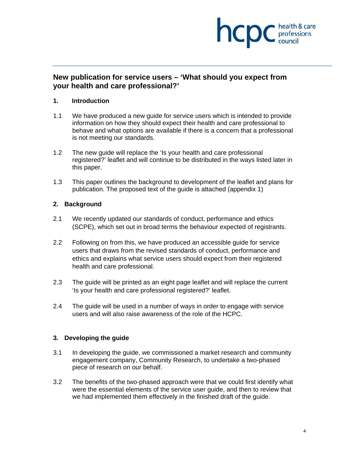

## **New publication for service users – 'What should you expect from your health and care professional?'**

#### **1. Introduction**

- 1.1 We have produced a new guide for service users which is intended to provide information on how they should expect their health and care professional to behave and what options are available if there is a concern that a professional is not meeting our standards.
- 1.2 The new guide will replace the 'Is your health and care professional registered?' leaflet and will continue to be distributed in the ways listed later in this paper.
- 1.3 This paper outlines the background to development of the leaflet and plans for publication. The proposed text of the guide is attached (appendix 1)

#### **2. Background**

- 2.1 We recently updated our standards of conduct, performance and ethics (SCPE), which set out in broad terms the behaviour expected of registrants.
- 2.2 Following on from this, we have produced an accessible guide for service users that draws from the revised standards of conduct, performance and ethics and explains what service users should expect from their registered health and care professional.
- 2.3 The guide will be printed as an eight page leaflet and will replace the current 'Is your health and care professional registered?' leaflet.
- 2.4 The guide will be used in a number of ways in order to engage with service users and will also raise awareness of the role of the HCPC.

#### **3. Developing the guide**

- 3.1 In developing the guide, we commissioned a market research and community engagement company, Community Research, to undertake a two-phased piece of research on our behalf.
- 3.2 The benefits of the two-phased approach were that we could first identify what were the essential elements of the service user guide, and then to review that we had implemented them effectively in the finished draft of the guide.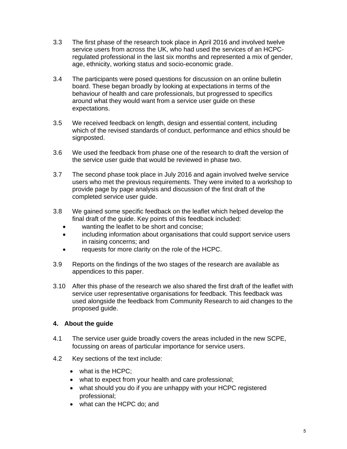- 3.3 The first phase of the research took place in April 2016 and involved twelve service users from across the UK, who had used the services of an HCPCregulated professional in the last six months and represented a mix of gender, age, ethnicity, working status and socio-economic grade.
- 3.4 The participants were posed questions for discussion on an online bulletin board. These began broadly by looking at expectations in terms of the behaviour of health and care professionals, but progressed to specifics around what they would want from a service user guide on these expectations.
- 3.5 We received feedback on length, design and essential content, including which of the revised standards of conduct, performance and ethics should be signposted.
- 3.6 We used the feedback from phase one of the research to draft the version of the service user guide that would be reviewed in phase two.
- 3.7 The second phase took place in July 2016 and again involved twelve service users who met the previous requirements. They were invited to a workshop to provide page by page analysis and discussion of the first draft of the completed service user guide.
- 3.8 We gained some specific feedback on the leaflet which helped develop the final draft of the guide. Key points of this feedback included:
	- wanting the leaflet to be short and concise;
	- including information about organisations that could support service users in raising concerns; and
	- requests for more clarity on the role of the HCPC.
- 3.9 Reports on the findings of the two stages of the research are available as appendices to this paper.
- 3.10 After this phase of the research we also shared the first draft of the leaflet with service user representative organisations for feedback. This feedback was used alongside the feedback from Community Research to aid changes to the proposed guide.

### **4. About the guide**

- 4.1 The service user guide broadly covers the areas included in the new SCPE, focussing on areas of particular importance for service users.
- 4.2 Key sections of the text include:
	- what is the HCPC;
	- what to expect from your health and care professional;
	- what should you do if you are unhappy with your HCPC registered professional;
	- what can the HCPC do; and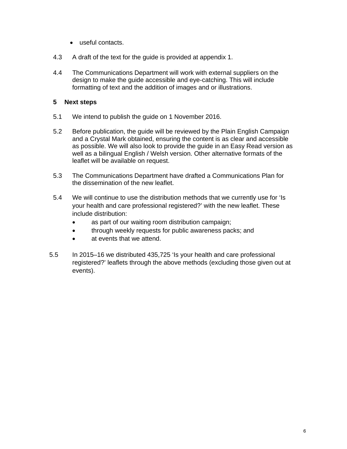- useful contacts.
- 4.3 A draft of the text for the guide is provided at appendix 1.
- 4.4 The Communications Department will work with external suppliers on the design to make the guide accessible and eye-catching. This will include formatting of text and the addition of images and or illustrations.

#### **5 Next steps**

- 5.1 We intend to publish the guide on 1 November 2016.
- 5.2 Before publication, the guide will be reviewed by the Plain English Campaign and a Crystal Mark obtained, ensuring the content is as clear and accessible as possible. We will also look to provide the guide in an Easy Read version as well as a bilingual English / Welsh version. Other alternative formats of the leaflet will be available on request.
- 5.3 The Communications Department have drafted a Communications Plan for the dissemination of the new leaflet.
- 5.4 We will continue to use the distribution methods that we currently use for 'Is your health and care professional registered?' with the new leaflet. These include distribution:
	- as part of our waiting room distribution campaign;
	- through weekly requests for public awareness packs; and
	- at events that we attend.
- 5.5 In 2015–16 we distributed 435,725 'Is your health and care professional registered?' leaflets through the above methods (excluding those given out at events).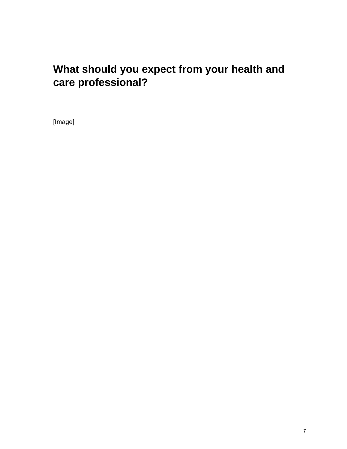# **What should you expect from your health and care professional?**

[Image]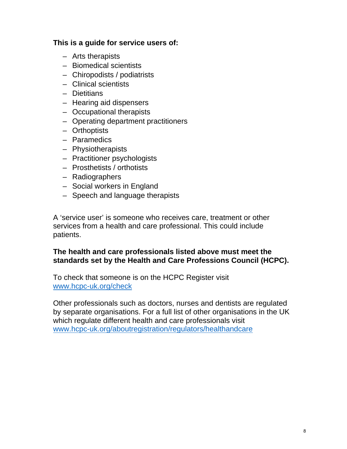## **This is a guide for service users of:**

- Arts therapists
- Biomedical scientists
- Chiropodists / podiatrists
- Clinical scientists
- Dietitians
- Hearing aid dispensers
- Occupational therapists
- Operating department practitioners
- Orthoptists
- Paramedics
- Physiotherapists
- Practitioner psychologists
- Prosthetists / orthotists
- Radiographers
- Social workers in England
- Speech and language therapists

A 'service user' is someone who receives care, treatment or other services from a health and care professional. This could include patients.

## **The health and care professionals listed above must meet the standards set by the Health and Care Professions Council (HCPC).**

To check that someone is on the HCPC Register visit www.hcpc-uk.org/check

Other professionals such as doctors, nurses and dentists are regulated by separate organisations. For a full list of other organisations in the UK which regulate different health and care professionals visit www.hcpc-uk.org/aboutregistration/regulators/healthandcare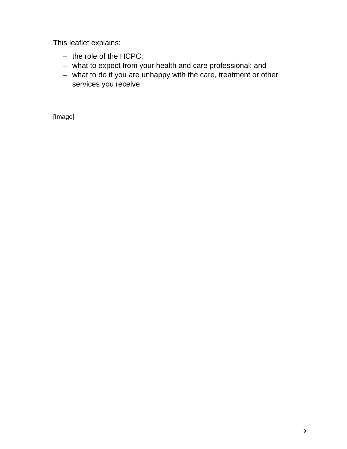This leaflet explains:

- the role of the HCPC;
- what to expect from your health and care professional; and
- what to do if you are unhappy with the care, treatment or other services you receive.

[Image]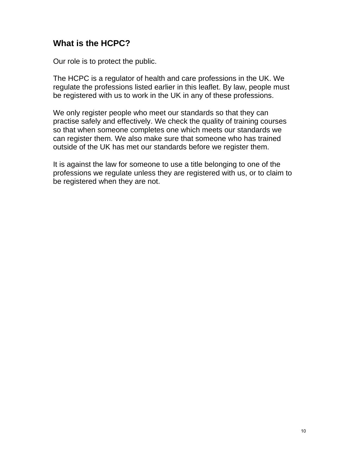## **What is the HCPC?**

Our role is to protect the public.

The HCPC is a regulator of health and care professions in the UK. We regulate the professions listed earlier in this leaflet. By law, people must be registered with us to work in the UK in any of these professions.

We only register people who meet our standards so that they can practise safely and effectively. We check the quality of training courses so that when someone completes one which meets our standards we can register them. We also make sure that someone who has trained outside of the UK has met our standards before we register them.

It is against the law for someone to use a title belonging to one of the professions we regulate unless they are registered with us, or to claim to be registered when they are not.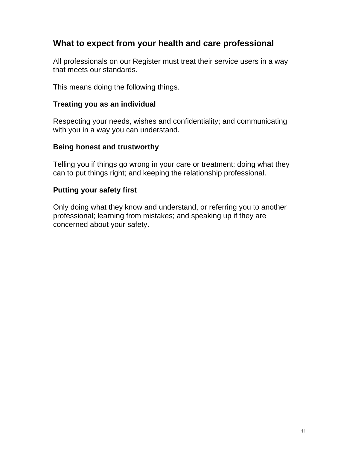## **What to expect from your health and care professional**

All professionals on our Register must treat their service users in a way that meets our standards.

This means doing the following things.

## **Treating you as an individual**

Respecting your needs, wishes and confidentiality; and communicating with you in a way you can understand.

## **Being honest and trustworthy**

Telling you if things go wrong in your care or treatment; doing what they can to put things right; and keeping the relationship professional.

## **Putting your safety first**

Only doing what they know and understand, or referring you to another professional; learning from mistakes; and speaking up if they are concerned about your safety.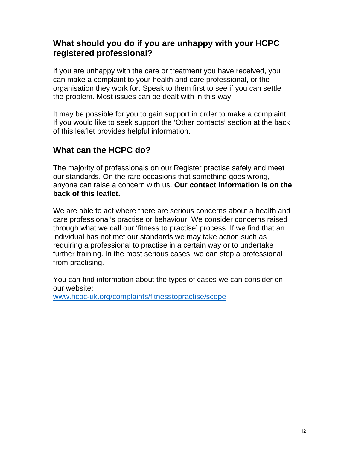## **What should you do if you are unhappy with your HCPC registered professional?**

If you are unhappy with the care or treatment you have received, you can make a complaint to your health and care professional, or the organisation they work for. Speak to them first to see if you can settle the problem. Most issues can be dealt with in this way.

It may be possible for you to gain support in order to make a complaint. If you would like to seek support the 'Other contacts' section at the back of this leaflet provides helpful information.

## **What can the HCPC do?**

The majority of professionals on our Register practise safely and meet our standards. On the rare occasions that something goes wrong, anyone can raise a concern with us. **Our contact information is on the back of this leaflet.** 

We are able to act where there are serious concerns about a health and care professional's practise or behaviour. We consider concerns raised through what we call our 'fitness to practise' process. If we find that an individual has not met our standards we may take action such as requiring a professional to practise in a certain way or to undertake further training. In the most serious cases, we can stop a professional from practising.

You can find information about the types of cases we can consider on our website: www.hcpc-uk.org/complaints/fitnesstopractise/scope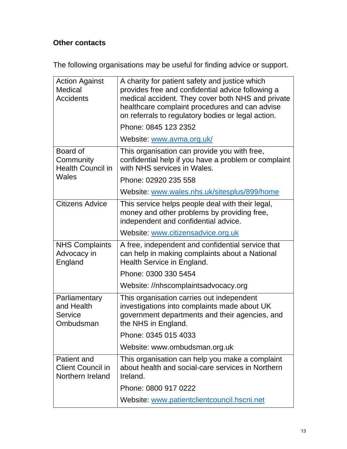## **Other contacts**

The following organisations may be useful for finding advice or support.

| <b>Action Against</b><br>Medical<br><b>Accidents</b>        | A charity for patient safety and justice which<br>provides free and confidential advice following a<br>medical accident. They cover both NHS and private<br>healthcare complaint procedures and can advise<br>on referrals to regulatory bodies or legal action. |  |
|-------------------------------------------------------------|------------------------------------------------------------------------------------------------------------------------------------------------------------------------------------------------------------------------------------------------------------------|--|
|                                                             | Phone: 0845 123 2352                                                                                                                                                                                                                                             |  |
|                                                             | Website: www.avma.org.uk/                                                                                                                                                                                                                                        |  |
| Board of<br>Community<br><b>Health Council in</b>           | This organisation can provide you with free,<br>confidential help if you have a problem or complaint<br>with NHS services in Wales.                                                                                                                              |  |
| Wales                                                       | Phone: 02920 235 558                                                                                                                                                                                                                                             |  |
|                                                             | Website: www.wales.nhs.uk/sitesplus/899/home                                                                                                                                                                                                                     |  |
| Citizens Advice                                             | This service helps people deal with their legal,<br>money and other problems by providing free,<br>independent and confidential advice.                                                                                                                          |  |
|                                                             | Website: www.citizensadvice.org.uk                                                                                                                                                                                                                               |  |
|                                                             | A free, independent and confidential service that<br>can help in making complaints about a National<br>Health Service in England.                                                                                                                                |  |
| <b>NHS Complaints</b><br>Advocacy in<br>England             |                                                                                                                                                                                                                                                                  |  |
|                                                             | Phone: 0300 330 5454                                                                                                                                                                                                                                             |  |
|                                                             | Website: //nhscomplaintsadvocacy.org                                                                                                                                                                                                                             |  |
| Parliamentary<br>and Health<br>Service<br>Ombudsman         | This organisation carries out independent<br>investigations into complaints made about UK<br>government departments and their agencies, and<br>the NHS in England.                                                                                               |  |
|                                                             | Phone: 0345 015 4033                                                                                                                                                                                                                                             |  |
|                                                             | Website: www.ombudsman.org.uk                                                                                                                                                                                                                                    |  |
| Patient and<br><b>Client Council in</b><br>Northern Ireland | This organisation can help you make a complaint<br>about health and social-care services in Northern<br>Ireland.                                                                                                                                                 |  |
|                                                             | Phone: 0800 917 0222                                                                                                                                                                                                                                             |  |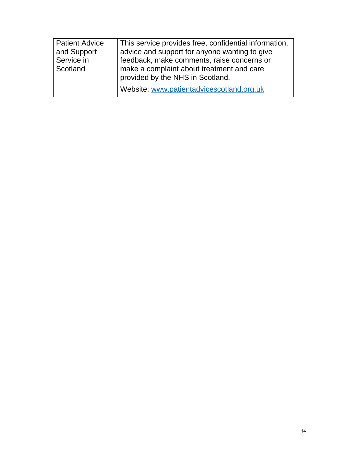| <b>Patient Advice</b> | This service provides free, confidential information, |
|-----------------------|-------------------------------------------------------|
| and Support           | advice and support for anyone wanting to give         |
| Service in            | feedback, make comments, raise concerns or            |
| Scotland              | make a complaint about treatment and care             |
|                       | provided by the NHS in Scotland.                      |
|                       | Website: www.patientadvicescotland.org.uk             |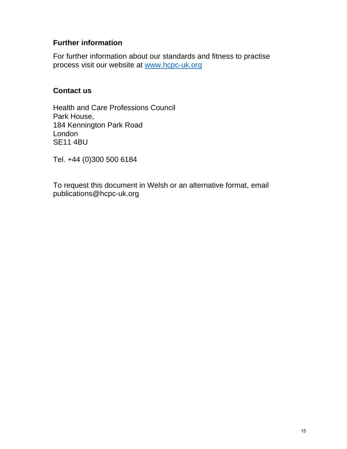## **Further information**

For further information about our standards and fitness to practise process visit our website at www.hcpc-uk.org

## **Contact us**

Health and Care Professions Council Park House, 184 Kennington Park Road London SE11 4BU

Tel. +44 (0)300 500 6184

To request this document in Welsh or an alternative format, email publications@hcpc-uk.org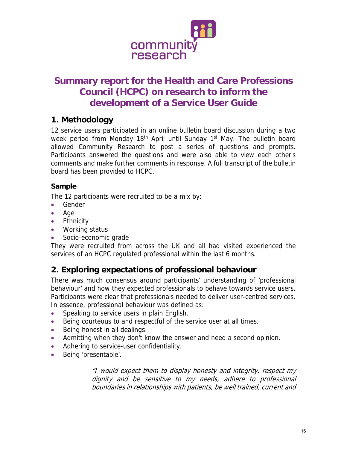

## **Summary report for the Health and Care Professions Council (HCPC) on research to inform the development of a Service User Guide**

## **1. Methodology**

12 service users participated in an online bulletin board discussion during a two week period from Monday 18<sup>th</sup> April until Sunday 1<sup>st</sup> May. The bulletin board allowed Community Research to post a series of questions and prompts. Participants answered the questions and were also able to view each other's comments and make further comments in response. A full transcript of the bulletin board has been provided to HCPC.

## **Sample**

The 12 participants were recruited to be a mix by:

- Gender
- Age
- **•** Ethnicity
- Working status
- Socio-economic grade

They were recruited from across the UK and all had visited experienced the services of an HCPC regulated professional within the last 6 months.

## **2. Exploring expectations of professional behaviour**

There was much consensus around participants' understanding of 'professional behaviour' and how they expected professionals to behave towards service users. Participants were clear that professionals needed to deliver user-centred services. In essence, professional behaviour was defined as:

- Speaking to service users in plain English.
- Being courteous to and respectful of the service user at all times.
- Being honest in all dealings.
- Admitting when they don't know the answer and need a second opinion.
- Adhering to service-user confidentiality.
- Being 'presentable'.

"I would expect them to display honesty and integrity, respect my dignity and be sensitive to my needs, adhere to professional boundaries in relationships with patients, be well trained, current and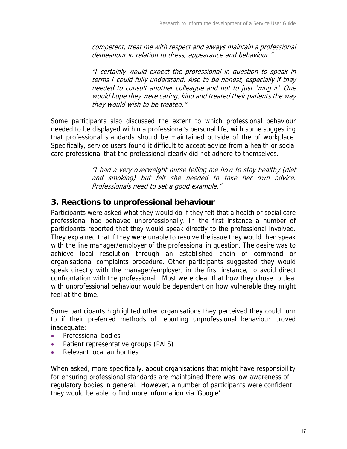competent, treat me with respect and always maintain a professional demeanour in relation to dress, appearance and behaviour."

"I certainly would expect the professional in question to speak in terms I could fully understand. Also to be honest, especially if they needed to consult another colleague and not to just 'wing it'. One would hope they were caring, kind and treated their patients the way they would wish to be treated."

Some participants also discussed the extent to which professional behaviour needed to be displayed within a professional's personal life, with some suggesting that professional standards should be maintained outside of the of workplace. Specifically, service users found it difficult to accept advice from a health or social care professional that the professional clearly did not adhere to themselves.

> "I had a very overweight nurse telling me how to stay healthy (diet and smoking) but felt she needed to take her own advice. Professionals need to set a good example."

## **3. Reactions to unprofessional behaviour**

Participants were asked what they would do if they felt that a health or social care professional had behaved unprofessionally. In the first instance a number of participants reported that they would speak directly to the professional involved. They explained that if they were unable to resolve the issue they would then speak with the line manager/employer of the professional in question. The desire was to achieve local resolution through an established chain of command or organisational complaints procedure. Other participants suggested they would speak directly with the manager/employer, in the first instance, to avoid direct confrontation with the professional. Most were clear that how they chose to deal with unprofessional behaviour would be dependent on how vulnerable they might feel at the time.

Some participants highlighted other organisations they perceived they could turn to if their preferred methods of reporting unprofessional behaviour proved inadequate:

- Professional bodies
- Patient representative groups (PALS)
- Relevant local authorities

When asked, more specifically, about organisations that might have responsibility for ensuring professional standards are maintained there was low awareness of regulatory bodies in general. However, a number of participants were confident they would be able to find more information via 'Google'.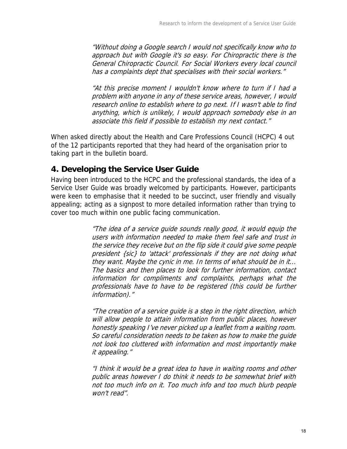"Without doing a Google search I would not specifically know who to approach but with Google it's so easy. For Chiropractic there is the General Chiropractic Council. For Social Workers every local council has a complaints dept that specialises with their social workers."

"At this precise moment I wouldn't know where to turn if I had a problem with anyone in any of these service areas, however, I would research online to establish where to go next. If I wasn't able to find anything, which is unlikely, I would approach somebody else in an associate this field if possible to establish my next contact."

When asked directly about the Health and Care Professions Council (HCPC) 4 out of the 12 participants reported that they had heard of the organisation prior to taking part in the bulletin board.

## **4. Developing the Service User Guide**

Having been introduced to the HCPC and the professional standards, the idea of a Service User Guide was broadly welcomed by participants. However, participants were keen to emphasise that it needed to be succinct, user friendly and visually appealing; acting as a signpost to more detailed information rather than trying to cover too much within one public facing communication.

> "The idea of a service guide sounds really good, it would equip the users with information needed to make them feel safe and trust in the service they receive but on the flip side it could give some people president {sic} to 'attack' professionals if they are not doing what they want. Maybe the cynic in me. In terms of what should be in it... The basics and then places to look for further information, contact information for compliments and complaints, perhaps what the professionals have to have to be registered (this could be further information)."

> "The creation of a service guide is a step in the right direction, which will allow people to attain information from public places, however honestly speaking I've never picked up a leaflet from a waiting room. So careful consideration needs to be taken as how to make the guide not look too cluttered with information and most importantly make it appealing."

> "I think it would be a great idea to have in waiting rooms and other public areas however I do think it needs to be somewhat brief with not too much info on it. Too much info and too much blurb people won't read".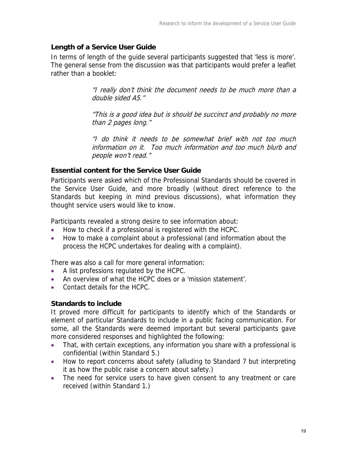### **Length of a Service User Guide**

In terms of length of the guide several participants suggested that 'less is more'. The general sense from the discussion was that participants would prefer a leaflet rather than a booklet:

> "I really don't think the document needs to be much more than a double sided A5."

> "This is a good idea but is should be succinct and probably no more than 2 pages long."

> "I do think it needs to be somewhat brief with not too much information on it. Too much information and too much blurb and people won't read."

## **Essential content for the Service User Guide**

Participants were asked which of the Professional Standards should be covered in the Service User Guide, and more broadly (without direct reference to the Standards but keeping in mind previous discussions), what information they thought service users would like to know.

Participants revealed a strong desire to see information about:

- How to check if a professional is registered with the HCPC.
- How to make a complaint about a professional (and information about the process the HCPC undertakes for dealing with a complaint).

There was also a call for more general information:

- A list professions regulated by the HCPC.
- An overview of what the HCPC does or a 'mission statement'.
- Contact details for the HCPC.

## **Standards to include**

It proved more difficult for participants to identify which of the Standards or element of particular Standards to include in a public facing communication. For some, all the Standards were deemed important but several participants gave more considered responses and highlighted the following:

- That, with certain exceptions, any information you share with a professional is confidential (within Standard 5.)
- How to report concerns about safety (alluding to Standard 7 but interpreting it as how the public raise a concern about safety.)
- The need for service users to have given consent to any treatment or care received (within Standard 1.)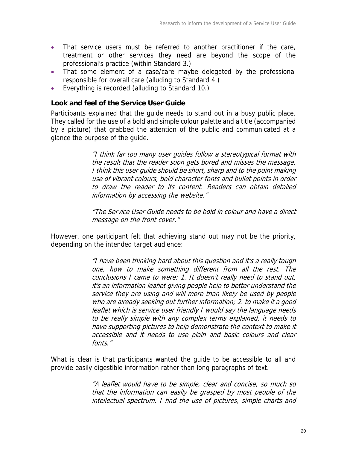- That service users must be referred to another practitioner if the care, treatment or other services they need are beyond the scope of the professional's practice (within Standard 3.)
- That some element of a case/care maybe delegated by the professional responsible for overall care (alluding to Standard 4.)
- Everything is recorded (alluding to Standard 10.)

### **Look and feel of the Service User Guide**

Participants explained that the guide needs to stand out in a busy public place. They called for the use of a bold and simple colour palette and a title (accompanied by a picture) that grabbed the attention of the public and communicated at a glance the purpose of the guide.

> "I think far too many user guides follow a stereotypical format with the result that the reader soon gets bored and misses the message. I think this user guide should be short, sharp and to the point making use of vibrant colours, bold character fonts and bullet points in order to draw the reader to its content. Readers can obtain detailed information by accessing the website."

> "The Service User Guide needs to be bold in colour and have a direct message on the front cover."

However, one participant felt that achieving stand out may not be the priority, depending on the intended target audience:

> "I have been thinking hard about this question and it's a really tough one, how to make something different from all the rest. The conclusions I came to were: 1. It doesn't really need to stand out, it's an information leaflet giving people help to better understand the service they are using and will more than likely be used by people who are already seeking out further information; 2. to make it a good leaflet which is service user friendly I would say the language needs to be really simple with any complex terms explained, it needs to have supporting pictures to help demonstrate the context to make it accessible and it needs to use plain and basic colours and clear fonts."

What is clear is that participants wanted the guide to be accessible to all and provide easily digestible information rather than long paragraphs of text.

> "A leaflet would have to be simple, clear and concise, so much so that the information can easily be grasped by most people of the intellectual spectrum. I find the use of pictures, simple charts and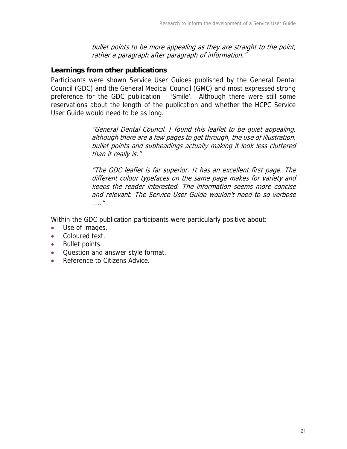bullet points to be more appealing as they are straight to the point, rather a paragraph after paragraph of information."

### **Learnings from other publications**

Participants were shown Service User Guides published by the General Dental Council (GDC) and the General Medical Council (GMC) and most expressed strong preference for the GDC publication – 'Smile'. Although there were still some reservations about the length of the publication and whether the HCPC Service User Guide would need to be as long.

> "General Dental Council. I found this leaflet to be quiet appealing, although there are a few pages to get through, the use of illustration, bullet points and subheadings actually making it look less cluttered than it really is."

> "The GDC leaflet is far superior. It has an excellent first page. The different colour typefaces on the same page makes for variety and keeps the reader interested. The information seems more concise and relevant. The Service User Guide wouldn't need to so verbose ….."

Within the GDC publication participants were particularly positive about:

- Use of images.
- Coloured text.
- Bullet points.
- Question and answer style format.
- Reference to Citizens Advice.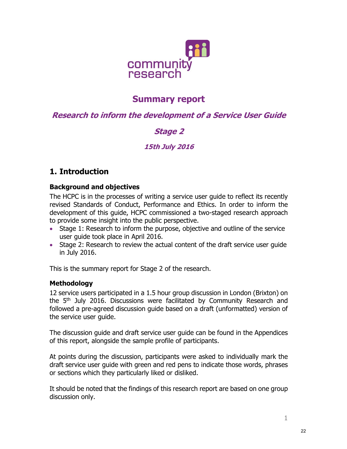

## Summary report

## Research to inform the development of a Service User Guide

## Stage 2

## 15th July 2016

## 1. Introduction

## Background and objectives

The HCPC is in the processes of writing a service user guide to reflect its recently revised Standards of Conduct, Performance and Ethics. In order to inform the development of this guide, HCPC commissioned a two-staged research approach to provide some insight into the public perspective.

- Stage 1: Research to inform the purpose, objective and outline of the service user guide took place in April 2016.
- Stage 2: Research to review the actual content of the draft service user guide in July 2016.

This is the summary report for Stage 2 of the research.

## Methodology

12 service users participated in a 1.5 hour group discussion in London (Brixton) on the 5th July 2016. Discussions were facilitated by Community Research and followed a pre-agreed discussion guide based on a draft (unformatted) version of the service user guide.

The discussion guide and draft service user guide can be found in the Appendices of this report, alongside the sample profile of participants.

At points during the discussion, participants were asked to individually mark the draft service user guide with green and red pens to indicate those words, phrases or sections which they particularly liked or disliked.

It should be noted that the findings of this research report are based on one group discussion only.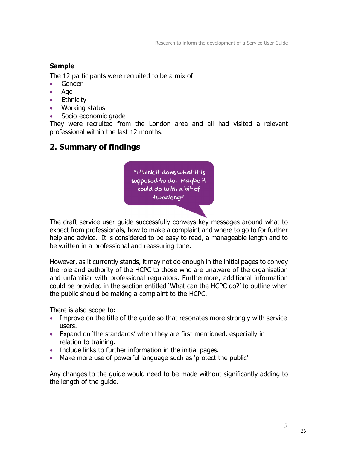## Sample

The 12 participants were recruited to be a mix of:

- Gender
- Age
- **•** Ethnicity
- Working status
- Socio-economic grade

They were recruited from the London area and all had visited a relevant professional within the last 12 months.

## 2. Summary of findings

"I think it does what it is supposed to do. Maybe it could do with a bit of tweaking"

The draft service user guide successfully conveys key messages around what to expect from professionals, how to make a complaint and where to go to for further help and advice. It is considered to be easy to read, a manageable length and to be written in a professional and reassuring tone.

However, as it currently stands, it may not do enough in the initial pages to convey the role and authority of the HCPC to those who are unaware of the organisation and unfamiliar with professional regulators. Furthermore, additional information could be provided in the section entitled 'What can the HCPC do?' to outline when the public should be making a complaint to the HCPC.

There is also scope to:

- Improve on the title of the guide so that resonates more strongly with service users.
- Expand on 'the standards' when they are first mentioned, especially in relation to training.
- Include links to further information in the initial pages.
- Make more use of powerful language such as 'protect the public'.

Any changes to the guide would need to be made without significantly adding to the length of the guide.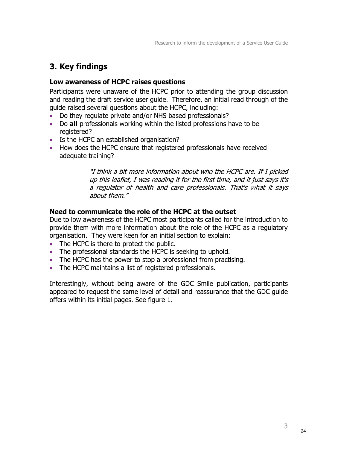## 3. Key findings

### Low awareness of HCPC raises questions

Participants were unaware of the HCPC prior to attending the group discussion and reading the draft service user guide. Therefore, an initial read through of the guide raised several questions about the HCPC, including:

- Do they regulate private and/or NHS based professionals?
- Do all professionals working within the listed professions have to be registered?
- Is the HCPC an established organisation?
- How does the HCPC ensure that registered professionals have received adequate training?

"I think a bit more information about who the HCPC are. If I picked up this leaflet, I was reading it for the first time, and it just says it's a regulator of health and care professionals. That's what it says about them."

## Need to communicate the role of the HCPC at the outset

Due to low awareness of the HCPC most participants called for the introduction to provide them with more information about the role of the HCPC as a regulatory organisation. They were keen for an initial section to explain:

- The HCPC is there to protect the public.
- The professional standards the HCPC is seeking to uphold.
- The HCPC has the power to stop a professional from practising.
- The HCPC maintains a list of registered professionals.

Interestingly, without being aware of the GDC Smile publication, participants appeared to request the same level of detail and reassurance that the GDC guide offers within its initial pages. See figure 1.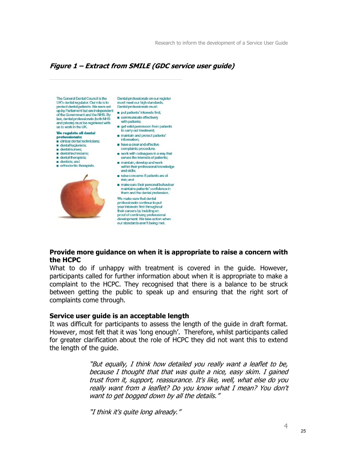### Figure 1 – Extract from SMILE (GDC service user guide)

The General Dental Council is the UK's dental requlator. Our role is to protect dental patients. We were set up by Parliament but are independent of the Government and the NHS. By<br>law, dental professionals (both NHS and private) must be registered with us to work in the UK.

#### We regulate all dental professionals:

- clinical dental technicians;
- dental hygienists;
- dental nurses:
- dental technicians: dental therapists;
- dentists; and

#### orthodontic therapists.



Dental professionals on our register must meet our high standards. Dental professionals must:

- put patients' interests first;
- communicate effectively
- with patients:
- get valid permission from patients to carry out treatment;
- maintain and protect patients' information;
- have a clear and effective complaints procedure;
- work with colleagues in a way that serves the interests of patients;
- maintain, develop and work within their professional knowledge
- and skills: naise concerns if patients are at
- risk: and make sure their personal behaviour maintains patients' confidence in them and the dental profession.

We make sure that dental professionals continue to put your interests first throughout their careers by insisting on proof of continuing professional development. We take action when our standards aren't being met.

#### Provide more guidance on when it is appropriate to raise a concern with the HCPC

What to do if unhappy with treatment is covered in the guide. However, participants called for further information about when it is appropriate to make a complaint to the HCPC. They recognised that there is a balance to be struck between getting the public to speak up and ensuring that the right sort of complaints come through.

#### Service user guide is an acceptable length

It was difficult for participants to assess the length of the guide in draft format. However, most felt that it was 'long enough'. Therefore, whilst participants called for greater clarification about the role of HCPC they did not want this to extend the length of the guide.

> "But equally, I think how detailed you really want a leaflet to be, because I thought that that was quite a nice, easy skim. I gained trust from it, support, reassurance. It's like, well, what else do you really want from a leaflet? Do you know what I mean? You don't want to get bogged down by all the details."

"I think it's quite long already."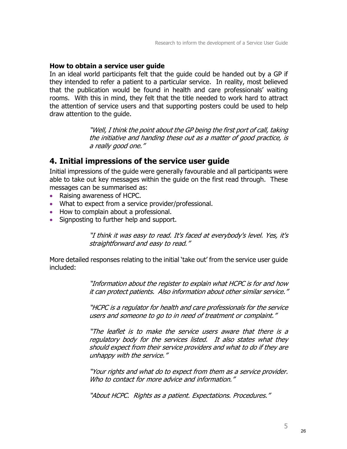#### How to obtain a service user guide

In an ideal world participants felt that the guide could be handed out by a GP if they intended to refer a patient to a particular service. In reality, most believed that the publication would be found in health and care professionals' waiting rooms. With this in mind, they felt that the title needed to work hard to attract the attention of service users and that supporting posters could be used to help draw attention to the guide.

> "Well, I think the point about the GP being the first port of call, taking the initiative and handing these out as a matter of good practice, is a really good one."

## 4. Initial impressions of the service user guide

Initial impressions of the guide were generally favourable and all participants were able to take out key messages within the guide on the first read through. These messages can be summarised as:

- Raising awareness of HCPC.
- What to expect from a service provider/professional.
- How to complain about a professional.
- Signposting to further help and support.

"I think it was easy to read. It's faced at everybody's level. Yes, it's straightforward and easy to read."

More detailed responses relating to the initial 'take out' from the service user guide included:

> "Information about the register to explain what HCPC is for and how it can protect patients. Also information about other similar service."

> "HCPC is a regulator for health and care professionals for the service users and someone to go to in need of treatment or complaint."

> "The leaflet is to make the service users aware that there is a regulatory body for the services listed. It also states what they should expect from their service providers and what to do if they are unhappy with the service."

> "Your rights and what do to expect from them as a service provider. Who to contact for more advice and information."

"About HCPC. Rights as a patient. Expectations. Procedures."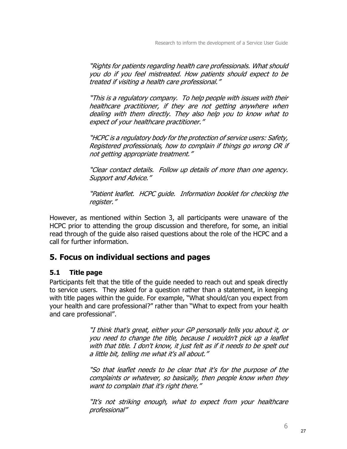"Rights for patients regarding health care professionals. What should you do if you feel mistreated. How patients should expect to be treated if visiting a health care professional."

"This is a regulatory company. To help people with issues with their healthcare practitioner, if they are not getting anywhere when dealing with them directly. They also help you to know what to expect of your healthcare practitioner."

"HCPC is a regulatory body for the protection of service users: Safety, Registered professionals, how to complain if things go wrong OR if not getting appropriate treatment."

"Clear contact details. Follow up details of more than one agency. Support and Advice."

"Patient leaflet. HCPC guide. Information booklet for checking the register."

However, as mentioned within Section 3, all participants were unaware of the HCPC prior to attending the group discussion and therefore, for some, an initial read through of the guide also raised questions about the role of the HCPC and a call for further information.

## 5. Focus on individual sections and pages

## 5.1 Title page

Participants felt that the title of the guide needed to reach out and speak directly to service users. They asked for a question rather than a statement, in keeping with title pages within the guide. For example, "What should/can you expect from your health and care professional?" rather than "What to expect from your health and care professional".

> "I think that's great, either your GP personally tells you about it, or you need to change the title, because I wouldn't pick up a leaflet with that title. I don't know, it just felt as if it needs to be spelt out a little bit, telling me what it's all about."

> "So that leaflet needs to be clear that it's for the purpose of the complaints or whatever, so basically, then people know when they want to complain that it's right there."

> "It's not striking enough, what to expect from your healthcare professional"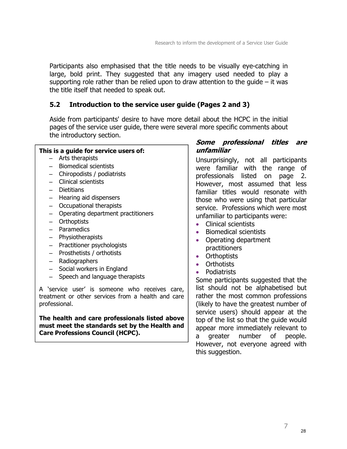Participants also emphasised that the title needs to be visually eye-catching in large, bold print. They suggested that any imagery used needed to play a supporting role rather than be relied upon to draw attention to the quide  $-$  it was the title itself that needed to speak out.

## 5.2 Introduction to the service user guide (Pages 2 and 3)

Aside from participants' desire to have more detail about the HCPC in the initial pages of the service user guide, there were several more specific comments about the introductory section.

#### This is a guide for service users of:

- Arts therapists
- Biomedical scientists
- Chiropodists / podiatrists
- Clinical scientists
- Dietitians
- Hearing aid dispensers
- Occupational therapists
- Operating department practitioners
- Orthoptists
- Paramedics
- Physiotherapists
- Practitioner psychologists
- Prosthetists / orthotists
- Radiographers
- Social workers in England
- Speech and language therapists

A 'service user' is someone who receives care, treatment or other services from a health and care professional.

The health and care professionals listed above must meet the standards set by the Health and Care Professions Council (HCPC).

#### Some professional titles are unfamiliar

Unsurprisingly, not all participants were familiar with the range of professionals listed on page 2. However, most assumed that less familiar titles would resonate with those who were using that particular service. Professions which were most unfamiliar to participants were:

- Clinical scientists
- Biomedical scientists
- Operating department practitioners
- Orthoptists
- Orthotists
- Podiatrists

Some participants suggested that the list should not be alphabetised but rather the most common professions (likely to have the greatest number of service users) should appear at the top of the list so that the guide would appear more immediately relevant to a greater number of people. However, not everyone agreed with this suggestion.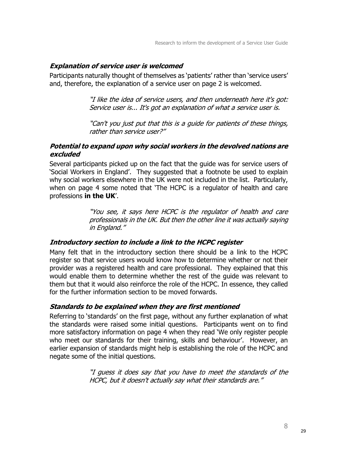### Explanation of service user is welcomed

Participants naturally thought of themselves as 'patients' rather than 'service users' and, therefore, the explanation of a service user on page 2 is welcomed.

> "I like the idea of service users, and then underneath here it's got: Service user is... It's got an explanation of what a service user is.

> "Can't you just put that this is a guide for patients of these things, rather than service user?"

## Potential to expand upon why social workers in the devolved nations are excluded

Several participants picked up on the fact that the guide was for service users of 'Social Workers in England'. They suggested that a footnote be used to explain why social workers elsewhere in the UK were not included in the list. Particularly, when on page 4 some noted that 'The HCPC is a regulator of health and care professions in the UK'.

> "You see, it says here HCPC is the regulator of health and care professionals in the UK. But then the other line it was actually saying in England."

## Introductory section to include a link to the HCPC register

Many felt that in the introductory section there should be a link to the HCPC register so that service users would know how to determine whether or not their provider was a registered health and care professional. They explained that this would enable them to determine whether the rest of the guide was relevant to them but that it would also reinforce the role of the HCPC. In essence, they called for the further information section to be moved forwards.

## Standards to be explained when they are first mentioned

Referring to 'standards' on the first page, without any further explanation of what the standards were raised some initial questions. Participants went on to find more satisfactory information on page 4 when they read 'We only register people who meet our standards for their training, skills and behaviour'. However, an earlier expansion of standards might help is establishing the role of the HCPC and negate some of the initial questions.

> "I guess it does say that you have to meet the standards of the HCPC, but it doesn't actually say what their standards are."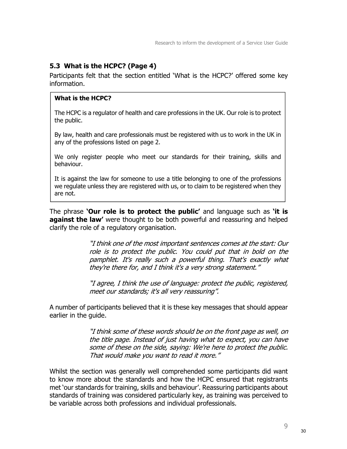## 5.3 What is the HCPC? (Page 4)

Participants felt that the section entitled 'What is the HCPC?' offered some key information.

### What is the HCPC?

The HCPC is a regulator of health and care professions in the UK. Our role is to protect the public.

By law, health and care professionals must be registered with us to work in the UK in any of the professions listed on page 2.

We only register people who meet our standards for their training, skills and behaviour.

It is against the law for someone to use a title belonging to one of the professions we regulate unless they are registered with us, or to claim to be registered when they are not.

The phrase **'Our role is to protect the public'** and language such as **'it is against the law'** were thought to be both powerful and reassuring and helped clarify the role of a regulatory organisation.

> "I think one of the most important sentences comes at the start: Our role is to protect the public. You could put that in bold on the pamphlet. It's really such a powerful thing. That's exactly what they're there for, and I think it's a very strong statement."

> "I agree, I think the use of language: protect the public, registered, meet our standards; it's all very reassuring".

A number of participants believed that it is these key messages that should appear earlier in the guide.

> "I think some of these words should be on the front page as well, on the title page. Instead of just having what to expect, you can have some of these on the side, saying: We're here to protect the public. That would make you want to read it more."

Whilst the section was generally well comprehended some participants did want to know more about the standards and how the HCPC ensured that registrants met 'our standards for training, skills and behaviour'. Reassuring participants about standards of training was considered particularly key, as training was perceived to be variable across both professions and individual professionals.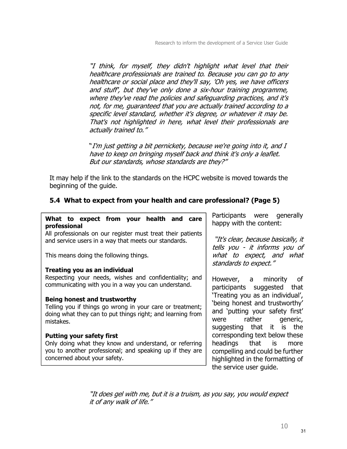"I think, for myself, they didn't highlight what level that their healthcare professionals are trained to. Because you can go to any healthcare or social place and they'll say, 'Oh yes, we have officers and stuff', but they've only done a six-hour training programme, where they've read the policies and safeguarding practices, and it's not, for me, guaranteed that you are actually trained according to a specific level standard, whether it's degree, or whatever it may be. That's not highlighted in here, what level their professionals are actually trained to."

"I'm just getting a bit pernickety, because we're going into it, and I have to keep on bringing myself back and think it's only a leaflet. But our standards, whose standards are they?"

It may help if the link to the standards on the HCPC website is moved towards the beginning of the guide.

## 5.4 What to expect from your health and care professional? (Page 5)

| What to expect from your health and care<br>professional                                                                                           | Participants were generally<br>happy with the content:                                                                     |  |
|----------------------------------------------------------------------------------------------------------------------------------------------------|----------------------------------------------------------------------------------------------------------------------------|--|
| All professionals on our register must treat their patients<br>and service users in a way that meets our standards.                                | "It's clear, because basically, it<br>tells you - it informs you of<br>what to expect, and what<br>standards to expect."   |  |
| This means doing the following things.                                                                                                             |                                                                                                                            |  |
| Treating you as an individual                                                                                                                      |                                                                                                                            |  |
| Respecting your needs, wishes and confidentiality; and<br>communicating with you in a way you can understand.                                      | However, a minority of<br>participants suggested that                                                                      |  |
| Being honest and trustworthy                                                                                                                       | 'Treating you as an individual',                                                                                           |  |
| Telling you if things go wrong in your care or treatment;<br>doing what they can to put things right; and learning from<br>mistakes.               | 'being honest and trustworthy'<br>and 'putting your safety first'<br>were rather generic,<br>suggesting that it is the     |  |
| <b>Putting your safety first</b>                                                                                                                   | corresponding text below these                                                                                             |  |
| Only doing what they know and understand, or referring<br>you to another professional; and speaking up if they are<br>concerned about your safety. | headings that is<br>more<br>compelling and could be further<br>highlighted in the formatting of<br>the service user guide. |  |

"It does gel with me, but it is a truism, as you say, you would expect it of any walk of life."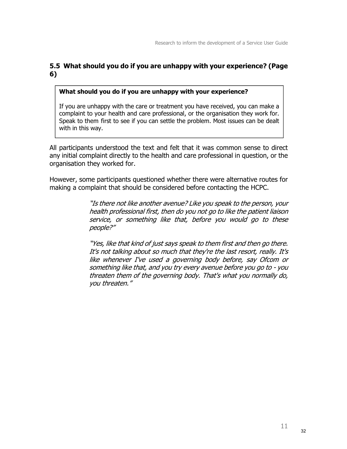## 5.5 What should you do if you are unhappy with your experience? (Page 6)

#### What should you do if you are unhappy with your experience?

If you are unhappy with the care or treatment you have received, you can make a complaint to your health and care professional, or the organisation they work for. Speak to them first to see if you can settle the problem. Most issues can be dealt with in this way.

All participants understood the text and felt that it was common sense to direct any initial complaint directly to the health and care professional in question, or the organisation they worked for.

However, some participants questioned whether there were alternative routes for making a complaint that should be considered before contacting the HCPC.

> "Is there not like another avenue? Like you speak to the person, your health professional first, then do you not go to like the patient liaison service, or something like that, before you would go to these people?"

> "Yes, like that kind of just says speak to them first and then go there. It's not talking about so much that they're the last resort, really. It's like whenever I've used a governing body before, say Ofcom or something like that, and you try every avenue before you go to - you threaten them of the governing body. That's what you normally do, you threaten."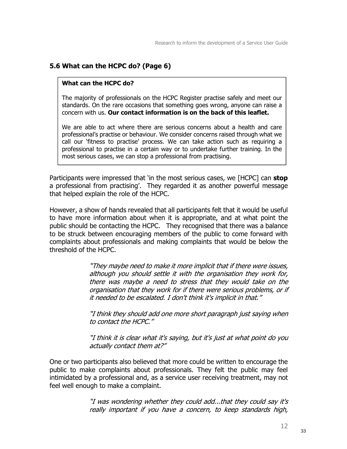## 5.6 What can the HCPC do? (Page 6)

### What can the HCPC do?

The majority of professionals on the HCPC Register practise safely and meet our standards. On the rare occasions that something goes wrong, anyone can raise a concern with us. Our contact information is on the back of this leaflet.

We are able to act where there are serious concerns about a health and care professional's practise or behaviour. We consider concerns raised through what we call our 'fitness to practise' process. We can take action such as requiring a professional to practise in a certain way or to undertake further training. In the most serious cases, we can stop a professional from practising.

Participants were impressed that 'in the most serious cases, we [HCPC] can **stop** a professional from practising'. They regarded it as another powerful message that helped explain the role of the HCPC.

However, a show of hands revealed that all participants felt that it would be useful to have more information about when it is appropriate, and at what point the public should be contacting the HCPC. They recognised that there was a balance to be struck between encouraging members of the public to come forward with complaints about professionals and making complaints that would be below the threshold of the HCPC.

> "They maybe need to make it more implicit that if there were issues, although you should settle it with the organisation they work for, there was maybe a need to stress that they would take on the organisation that they work for if there were serious problems, or if it needed to be escalated. I don't think it's implicit in that."

> "I think they should add one more short paragraph just saying when to contact the HCPC."

> "I think it is clear what it's saying, but it's just at what point do you actually contact them at?"

One or two participants also believed that more could be written to encourage the public to make complaints about professionals. They felt the public may feel intimidated by a professional and, as a service user receiving treatment, may not feel well enough to make a complaint.

> "I was wondering whether they could add...that they could say it's really important if you have a concern, to keep standards high,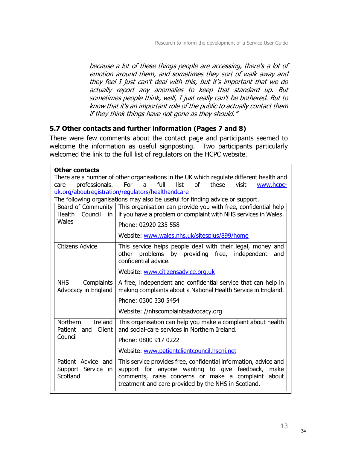because a lot of these things people are accessing, there's a lot of emotion around them, and sometimes they sort of walk away and they feel I just can't deal with this, but it's important that we do actually report any anomalies to keep that standard up. But sometimes people think, well, I just really can't be bothered. But to know that it's an important role of the public to actually contact them if they think things have not gone as they should."

## 5.7 Other contacts and further information (Pages 7 and 8)

There were few comments about the contact page and participants seemed to welcome the information as useful signposting. Two participants particularly welcomed the link to the full list of regulators on the HCPC website.

| <b>Other contacts</b>                                         |                                                                                                                                                                                                                                       |
|---------------------------------------------------------------|---------------------------------------------------------------------------------------------------------------------------------------------------------------------------------------------------------------------------------------|
| professionals.                                                | There are a number of other organisations in the UK which regulate different health and<br>full<br>Ωf<br>these<br>For<br>list<br>visit<br>a                                                                                           |
| care                                                          | www.hcpc-<br>uk.org/aboutregistration/regulators/healthandcare                                                                                                                                                                        |
|                                                               | The following organisations may also be useful for finding advice or support.                                                                                                                                                         |
| Board of Community<br>Council<br><b>Health</b><br>in          | This organisation can provide you with free, confidential help<br>if you have a problem or complaint with NHS services in Wales.                                                                                                      |
| Wales                                                         | Phone: 02920 235 558                                                                                                                                                                                                                  |
|                                                               | Website: www.wales.nhs.uk/sitesplus/899/home                                                                                                                                                                                          |
| <b>Citizens Advice</b>                                        | This service helps people deal with their legal, money and<br>problems by providing free, independent<br>other<br>and<br>confidential advice.                                                                                         |
|                                                               | Website: www.citizensadvice.org.uk                                                                                                                                                                                                    |
| <b>NHS</b><br>Complaints<br>Advocacy in England               | A free, independent and confidential service that can help in<br>making complaints about a National Health Service in England.                                                                                                        |
|                                                               | Phone: 0300 330 5454                                                                                                                                                                                                                  |
|                                                               | Website: //nhscomplaintsadvocacy.org                                                                                                                                                                                                  |
| <b>Northern</b><br><b>Ireland</b><br>Client<br>Patient<br>and | This organisation can help you make a complaint about health<br>and social-care services in Northern Ireland.                                                                                                                         |
| Council                                                       | Phone: 0800 917 0222                                                                                                                                                                                                                  |
|                                                               | Website: www.patientclientcouncil.hscni.net                                                                                                                                                                                           |
| Patient Advice and<br>Support Service in<br>Scotland          | This service provides free, confidential information, advice and<br>support for anyone wanting to give feedback, make<br>comments, raise concerns or make a complaint<br>about<br>treatment and care provided by the NHS in Scotland. |

Website: www.patientadvicescotland.org.uk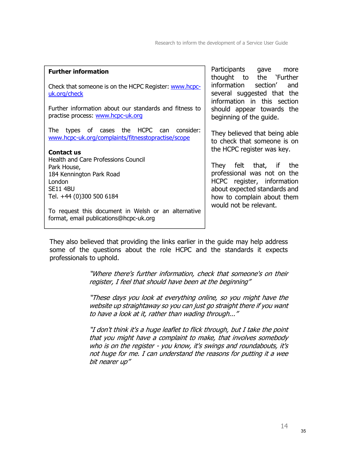| <b>Further information</b>                                                                                                              | Participants gave<br>more<br>thought to the `Further                                                                                                                        |  |  |
|-----------------------------------------------------------------------------------------------------------------------------------------|-----------------------------------------------------------------------------------------------------------------------------------------------------------------------------|--|--|
| Check that someone is on the HCPC Register: www.hcpc-<br>uk.org/check                                                                   | information section'<br>and<br>several suggested that the<br>information in this section                                                                                    |  |  |
| Further information about our standards and fitness to<br>practise process: www.hcpc-uk.org                                             | should appear towards the<br>beginning of the guide.                                                                                                                        |  |  |
| types of cases the HCPC can<br>consider:<br>The<br>www.hcpc-uk.org/complaints/fitnesstopractise/scope<br><b>Contact us</b>              | They believed that being able<br>to check that someone is on<br>the HCPC register was key.                                                                                  |  |  |
| <b>Health and Care Professions Council</b><br>Park House,<br>184 Kennington Park Road<br>London<br>SE11 4BU<br>Tel. +44 (0)300 500 6184 | They felt that, if the<br>professional was not on the<br>HCPC register, information<br>about expected standards and<br>how to complain about them<br>would not be relevant. |  |  |
| To request this document in Welsh or an alternative<br>format, email publications@hcpc-uk.org                                           |                                                                                                                                                                             |  |  |

They also believed that providing the links earlier in the guide may help address some of the questions about the role HCPC and the standards it expects professionals to uphold.

> "Where there's further information, check that someone's on their register, I feel that should have been at the beginning"

> "These days you look at everything online, so you might have the website up straightaway so you can just go straight there if you want to have a look at it, rather than wading through..."

> "I don't think it's a huge leaflet to flick through, but I take the point that you might have a complaint to make, that involves somebody who is on the register - you know, it's swings and roundabouts, it's not huge for me. I can understand the reasons for putting it a wee bit nearer up"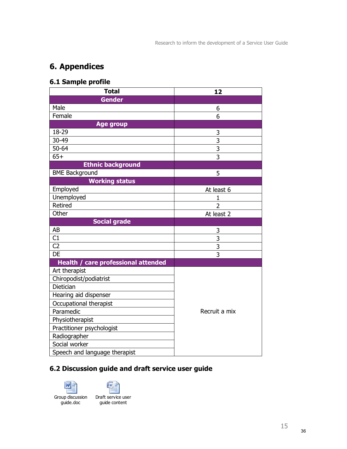## 6. Appendices

## 6.1 Sample profile

| <b>Total</b>                        | 12             |  |
|-------------------------------------|----------------|--|
| <b>Gender</b>                       |                |  |
| Male                                | 6              |  |
| Female                              | 6              |  |
| <b>Age group</b>                    |                |  |
| 18-29                               | 3              |  |
| 30-49                               | $\overline{3}$ |  |
| $50 - 64$                           | $\overline{3}$ |  |
| $65+$                               | $\overline{3}$ |  |
| <b>Ethnic background</b>            |                |  |
| <b>BME Background</b>               | 5              |  |
| <b>Working status</b>               |                |  |
| Employed                            | At least 6     |  |
| Unemployed                          | 1              |  |
| Retired                             | $\overline{2}$ |  |
| Other                               | At least 2     |  |
| <b>Social grade</b>                 |                |  |
| AB                                  | 3              |  |
| C1                                  | 3              |  |
| C <sub>2</sub>                      | 3              |  |
| DE                                  | 3              |  |
| Health / care professional attended |                |  |
| Art therapist                       |                |  |
| Chiropodist/podiatrist              |                |  |
| Dietician                           |                |  |
| Hearing aid dispenser               |                |  |
| Occupational therapist              |                |  |
| Paramedic                           | Recruit a mix  |  |
| Physiotherapist                     |                |  |
| Practitioner psychologist           |                |  |
| Radiographer                        |                |  |
| Social worker                       |                |  |
| Speech and language therapist       |                |  |

## 6.2 Discussion guide and draft service user guide





guide content